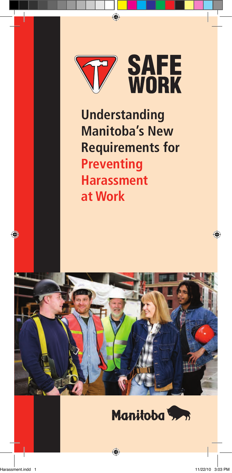

**Understanding Manitoba's New Requirements for Preventing Harassment at Work**



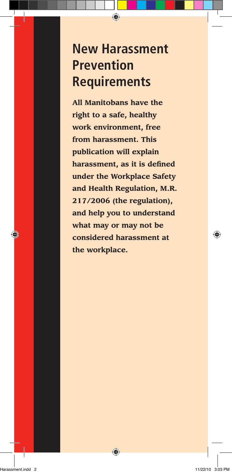# **New Harassment Prevention Requirements**

**All Manitobans have the right to a safe, healthy work environment, free from harassment. This publication will explain harassment, as it is defined under the Workplace Safety and Health Regulation, M.R. 217/2006 (the regulation), and help you to understand what may or may not be considered harassment at the workplace.**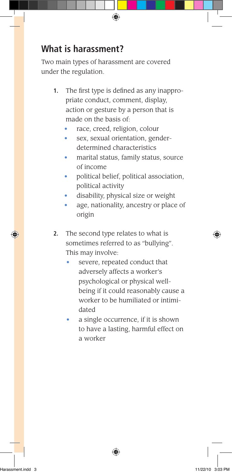### **What is harassment?**

Two main types of harassment are covered under the regulation.

- **1.** The first type is defined as any inappropriate conduct, comment, display, action or gesture by a person that is made on the basis of:
	- race, creed, religion, colour
	- sex, sexual orientation, genderdetermined characteristics
	- marital status, family status, source of income
	- political belief, political association, political activity
	- disability, physical size or weight
	- age, nationality, ancestry or place of origin
- **2.** The second type relates to what is sometimes referred to as "bullying". This may involve:
	- severe, repeated conduct that adversely affects a worker's psychological or physical wellbeing if it could reasonably cause a worker to be humiliated or intimidated
	- a single occurrence, if it is shown to have a lasting, harmful effect on a worker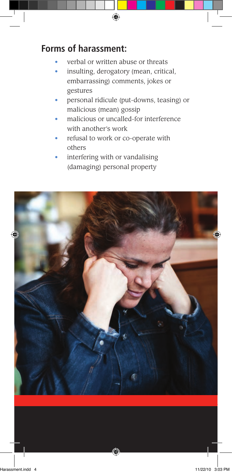### **Forms of harassment:**

- verbal or written abuse or threats
- insulting, derogatory (mean, critical, embarrassing) comments, jokes or gestures
- personal ridicule (put-downs, teasing) or malicious (mean) gossip
- malicious or uncalled-for interference with another's work
- refusal to work or co-operate with others
- interfering with or vandalising (damaging) personal property

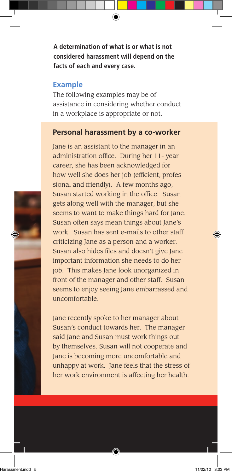**A determination of what is or what is not considered harassment will depend on the facts of each and every case.** 

#### **Example**

The following examples may be of assistance in considering whether conduct in a workplace is appropriate or not.

#### **Personal harassment by a co-worker**

Jane is an assistant to the manager in an administration office. During her 11- year career, she has been acknowledged for how well she does her job (efficient, professional and friendly). A few months ago, Susan started working in the office. Susan gets along well with the manager, but she seems to want to make things hard for Jane. Susan often says mean things about Jane's work. Susan has sent e-mails to other staff criticizing Jane as a person and a worker. Susan also hides files and doesn't give Jane important information she needs to do her job. This makes Jane look unorganized in front of the manager and other staff. Susan seems to enjoy seeing Jane embarrassed and uncomfortable.

Jane recently spoke to her manager about Susan's conduct towards her. The manager said Jane and Susan must work things out by themselves. Susan will not cooperate and Jane is becoming more uncomfortable and unhappy at work. Jane feels that the stress of her work environment is affecting her health.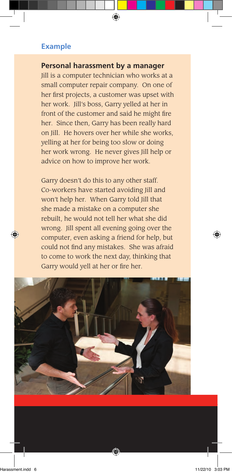#### **Example**

#### **Personal harassment by a manager**

Jill is a computer technician who works at a small computer repair company. On one of her first projects, a customer was upset with her work. Jill's boss, Garry yelled at her in front of the customer and said he might fire her. Since then, Garry has been really hard on Jill. He hovers over her while she works, yelling at her for being too slow or doing her work wrong. He never gives Jill help or advice on how to improve her work.

Garry doesn't do this to any other staff. Co-workers have started avoiding Jill and won't help her. When Garry told Jill that she made a mistake on a computer she rebuilt, he would not tell her what she did wrong. Jill spent all evening going over the computer, even asking a friend for help, but could not find any mistakes. She was afraid to come to work the next day, thinking that Garry would yell at her or fire her.

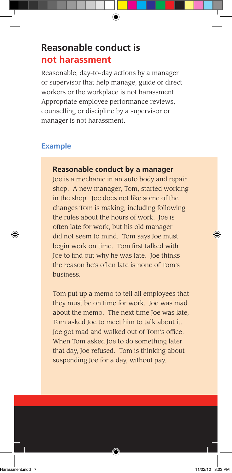### **Reasonable conduct is not harassment**

Reasonable, day-to-day actions by a manager or supervisor that help manage, guide or direct workers or the workplace is not harassment. Appropriate employee performance reviews, counselling or discipline by a supervisor or manager is not harassment.

#### **Example**

#### **Reasonable conduct by a manager**

Joe is a mechanic in an auto body and repair shop. A new manager, Tom, started working in the shop. Joe does not like some of the changes Tom is making, including following the rules about the hours of work. Joe is often late for work, but his old manager did not seem to mind. Tom says Joe must begin work on time. Tom first talked with Joe to find out why he was late. Joe thinks the reason he's often late is none of Tom's business.

Tom put up a memo to tell all employees that they must be on time for work. Joe was mad about the memo. The next time Joe was late, Tom asked Joe to meet him to talk about it. Joe got mad and walked out of Tom's office. When Tom asked Joe to do something later that day, Joe refused. Tom is thinking about suspending Joe for a day, without pay.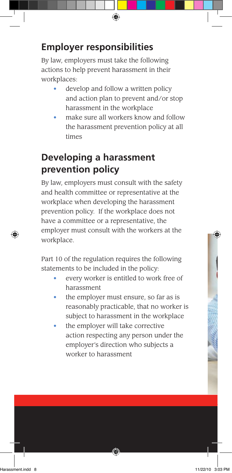## **Employer responsibilities**

By law, employers must take the following actions to help prevent harassment in their workplaces:

- develop and follow a written policy and action plan to prevent and/or stop harassment in the workplace
- make sure all workers know and follow the harassment prevention policy at all times

# **Developing a harassment prevention policy**

By law, employers must consult with the safety and health committee or representative at the workplace when developing the harassment prevention policy. If the workplace does not have a committee or a representative, the employer must consult with the workers at the workplace.

Part 10 of the regulation requires the following statements to be included in the policy:

- every worker is entitled to work free of harassment
- the employer must ensure, so far as is reasonably practicable, that no worker is subject to harassment in the workplace
- the employer will take corrective action respecting any person under the employer's direction who subjects a worker to harassment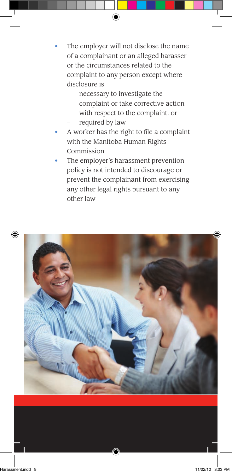- The employer will not disclose the name of a complainant or an alleged harasser or the circumstances related to the complaint to any person except where disclosure is
	- necessary to investigate the complaint or take corrective action with respect to the complaint, or required by law
- A worker has the right to file a complaint with the Manitoba Human Rights Commission
- The employer's harassment prevention policy is not intended to discourage or prevent the complainant from exercising any other legal rights pursuant to any other law

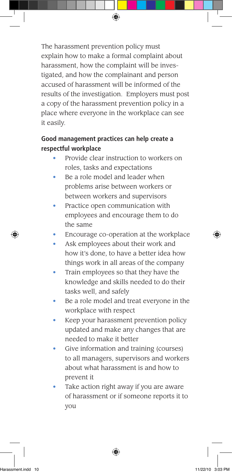The harassment prevention policy must explain how to make a formal complaint about harassment, how the complaint will be investigated, and how the complainant and person accused of harassment will be informed of the results of the investigation. Employers must post a copy of the harassment prevention policy in a place where everyone in the workplace can see it easily.

#### **Good management practices can help create a respectful workplace**

- Provide clear instruction to workers on roles, tasks and expectations
- Be a role model and leader when problems arise between workers or between workers and supervisors
- Practice open communication with employees and encourage them to do the same
- Encourage co-operation at the workplace
- Ask employees about their work and how it's done, to have a better idea how things work in all areas of the company
- Train employees so that they have the knowledge and skills needed to do their tasks well, and safely
- Be a role model and treat everyone in the workplace with respect
- Keep your harassment prevention policy updated and make any changes that are needed to make it better
- Give information and training (courses) to all managers, supervisors and workers about what harassment is and how to prevent it
- Take action right away if you are aware of harassment or if someone reports it to you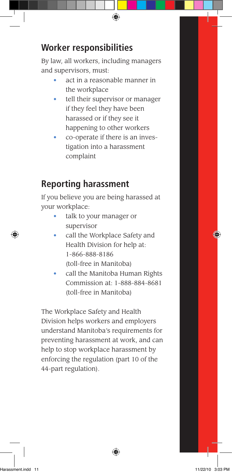## **Worker responsibilities**

By law, all workers, including managers and supervisors, must:

- act in a reasonable manner in the workplace
- tell their supervisor or manager if they feel they have been harassed or if they see it happening to other workers
- co-operate if there is an investigation into a harassment complaint

## **Reporting harassment**

If you believe you are being harassed at your workplace:

- talk to your manager or supervisor
- call the Workplace Safety and Health Division for help at: 1-866-888-8186 (toll-free in Manitoba)
- call the Manitoba Human Rights Commission at: 1-888-884-8681 (toll-free in Manitoba)

The Workplace Safety and Health Division helps workers and employers understand Manitoba's requirements for preventing harassment at work, and can help to stop workplace harassment by enforcing the regulation (part 10 of the 44-part regulation).